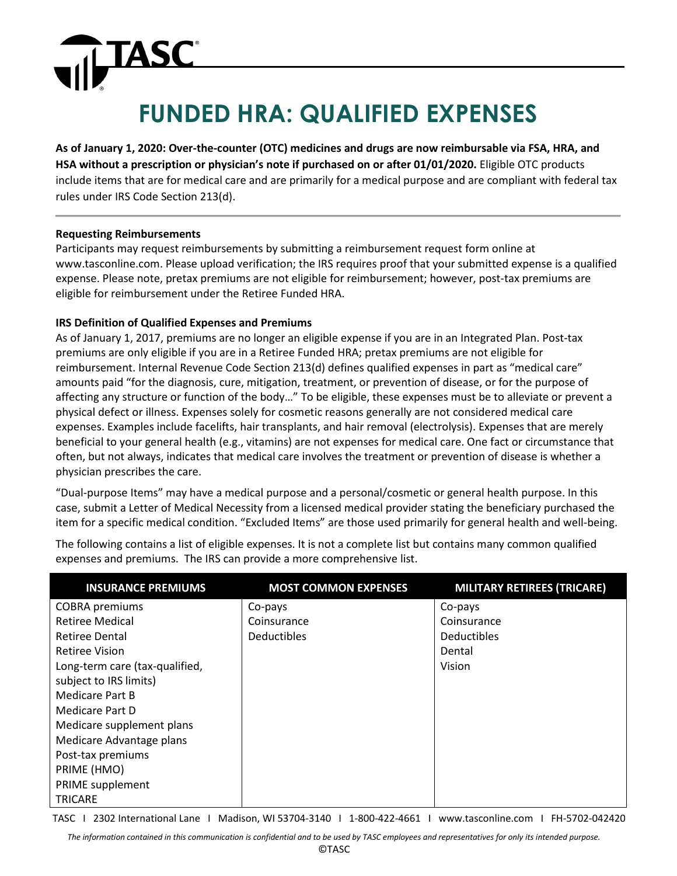### **FUNDED HRA: QUALIFIED EXPENSES**

**As of January 1, 2020: Over-the-counter (OTC) medicines and drugs are now reimbursable via FSA, HRA, and HSA without a prescription or physician's note if purchased on or after 01/01/2020.** Eligible OTC products include items that are for medical care and are primarily for a medical purpose and are compliant with federal tax rules under IRS Code Section 213(d).

#### **Requesting Reimbursements**

TASC

Participants may request reimbursements by submitting a reimbursement request form online at www.tasconline.com. Please upload verification; the IRS requires proof that your submitted expense is a qualified expense. Please note, pretax premiums are not eligible for reimbursement; however, post-tax premiums are eligible for reimbursement under the Retiree Funded HRA.

#### **IRS Definition of Qualified Expenses and Premiums**

As of January 1, 2017, premiums are no longer an eligible expense if you are in an Integrated Plan. Post-tax premiums are only eligible if you are in a Retiree Funded HRA; pretax premiums are not eligible for reimbursement. Internal Revenue Code Section 213(d) defines qualified expenses in part as "medical care" amounts paid "for the diagnosis, cure, mitigation, treatment, or prevention of disease, or for the purpose of affecting any structure or function of the body…" To be eligible, these expenses must be to alleviate or prevent a physical defect or illness. Expenses solely for cosmetic reasons generally are not considered medical care expenses. Examples include facelifts, hair transplants, and hair removal (electrolysis). Expenses that are merely beneficial to your general health (e.g., vitamins) are not expenses for medical care. One fact or circumstance that often, but not always, indicates that medical care involves the treatment or prevention of disease is whether a physician prescribes the care.

"Dual-purpose Items" may have a medical purpose and a personal/cosmetic or general health purpose. In this case, submit a Letter of Medical Necessity from a licensed medical provider stating the beneficiary purchased the item for a specific medical condition. "Excluded Items" are those used primarily for general health and well-being.

The following contains a list of eligible expenses. It is not a complete list but contains many common qualified expenses and premiums. The IRS can provide a more comprehensive list.

| <b>INSURANCE PREMIUMS</b>      | <b>MOST COMMON EXPENSES</b> | <b>MILITARY RETIREES (TRICARE)</b> |
|--------------------------------|-----------------------------|------------------------------------|
| <b>COBRA</b> premiums          | Co-pays                     | Co-pays                            |
| <b>Retiree Medical</b>         | Coinsurance                 | Coinsurance                        |
| <b>Retiree Dental</b>          | <b>Deductibles</b>          | <b>Deductibles</b>                 |
| <b>Retiree Vision</b>          |                             | Dental                             |
| Long-term care (tax-qualified, |                             | Vision                             |
| subject to IRS limits)         |                             |                                    |
| Medicare Part B                |                             |                                    |
| Medicare Part D                |                             |                                    |
| Medicare supplement plans      |                             |                                    |
| Medicare Advantage plans       |                             |                                    |
| Post-tax premiums              |                             |                                    |
| PRIME (HMO)                    |                             |                                    |
| PRIME supplement               |                             |                                    |
| <b>TRICARE</b>                 |                             |                                    |

TASC I 2302 International Lane I Madison, WI 53704-3140 I 1-800-422-4661 I www.tasconline.com I FH-5702-042420

*The information contained in this communication is confidential and to be used by TASC employees and representatives for only its intended purpose.*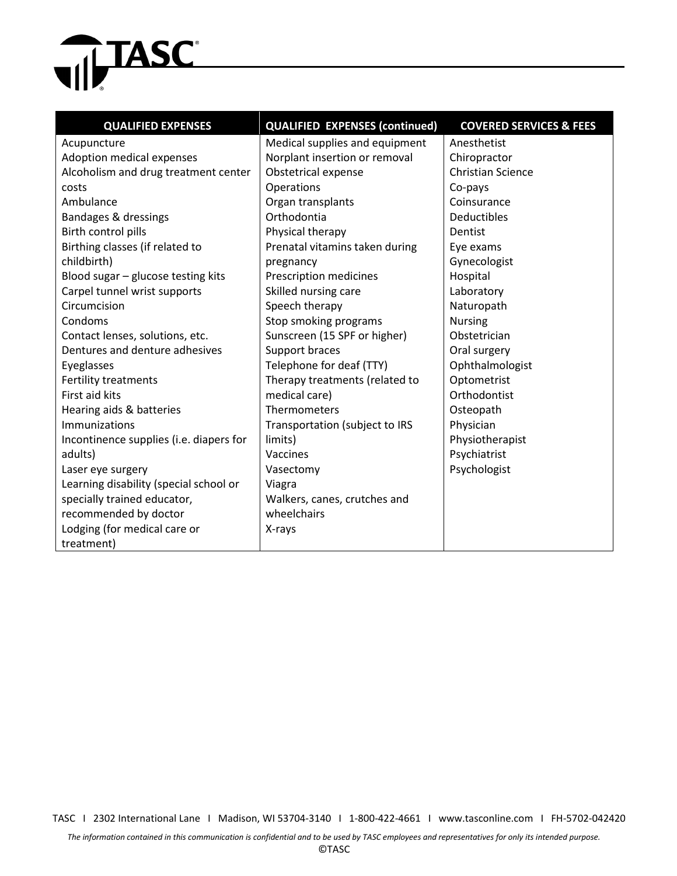# **THE TASC**

| <b>QUALIFIED EXPENSES</b>               | <b>QUALIFIED EXPENSES (continued)</b> | <b>COVERED SERVICES &amp; FEES</b> |
|-----------------------------------------|---------------------------------------|------------------------------------|
| Acupuncture                             | Medical supplies and equipment        | Anesthetist                        |
| Adoption medical expenses               | Norplant insertion or removal         | Chiropractor                       |
| Alcoholism and drug treatment center    | Obstetrical expense                   | <b>Christian Science</b>           |
| costs                                   | Operations                            | Co-pays                            |
| Ambulance                               | Organ transplants                     | Coinsurance                        |
| Bandages & dressings                    | Orthodontia                           | <b>Deductibles</b>                 |
| Birth control pills                     | Physical therapy                      | Dentist                            |
| Birthing classes (if related to         | Prenatal vitamins taken during        | Eye exams                          |
| childbirth)                             | pregnancy                             | Gynecologist                       |
| Blood sugar - glucose testing kits      | Prescription medicines                | Hospital                           |
| Carpel tunnel wrist supports            | Skilled nursing care                  | Laboratory                         |
| Circumcision                            | Speech therapy                        | Naturopath                         |
| Condoms                                 | Stop smoking programs                 | <b>Nursing</b>                     |
| Contact lenses, solutions, etc.         | Sunscreen (15 SPF or higher)          | Obstetrician                       |
| Dentures and denture adhesives          | Support braces                        | Oral surgery                       |
| Eyeglasses                              | Telephone for deaf (TTY)              | Ophthalmologist                    |
| <b>Fertility treatments</b>             | Therapy treatments (related to        | Optometrist                        |
| First aid kits                          | medical care)                         | Orthodontist                       |
| Hearing aids & batteries                | Thermometers                          | Osteopath                          |
| Immunizations                           | Transportation (subject to IRS        | Physician                          |
| Incontinence supplies (i.e. diapers for | limits)                               | Physiotherapist                    |
| adults)                                 | Vaccines                              | Psychiatrist                       |
| Laser eye surgery                       | Vasectomy                             | Psychologist                       |
| Learning disability (special school or  | Viagra                                |                                    |
| specially trained educator,             | Walkers, canes, crutches and          |                                    |
| recommended by doctor                   | wheelchairs                           |                                    |
| Lodging (for medical care or            | X-rays                                |                                    |
| treatment)                              |                                       |                                    |

TASC I 2302 International Lane I Madison, WI 53704-3140 I 1-800-422-4661 I www.tasconline.com I FH-5702-042420